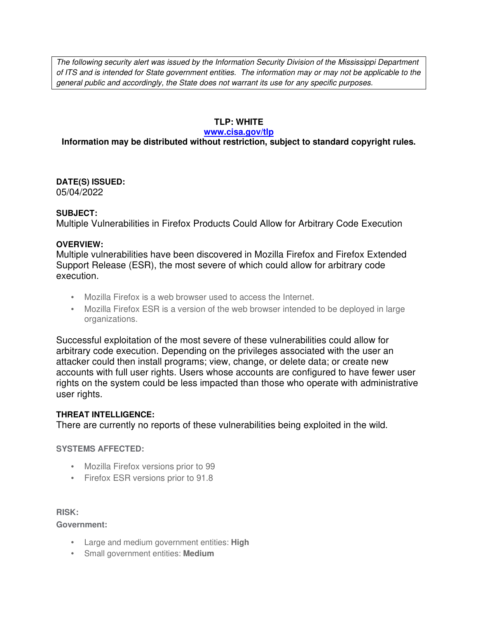The following security alert was issued by the Information Security Division of the Mississippi Department of ITS and is intended for State government entities. The information may or may not be applicable to the general public and accordingly, the State does not warrant its use for any specific purposes.

## **TLP: WHITE**

#### **www.cisa.gov/tlp**

# **Information may be distributed without restriction, subject to standard copyright rules.**

**DATE(S) ISSUED:** 05/04/2022

## **SUBJECT:**

Multiple Vulnerabilities in Firefox Products Could Allow for Arbitrary Code Execution

## **OVERVIEW:**

Multiple vulnerabilities have been discovered in Mozilla Firefox and Firefox Extended Support Release (ESR), the most severe of which could allow for arbitrary code execution.

- Mozilla Firefox is a web browser used to access the Internet.
- Mozilla Firefox ESR is a version of the web browser intended to be deployed in large organizations.

Successful exploitation of the most severe of these vulnerabilities could allow for arbitrary code execution. Depending on the privileges associated with the user an attacker could then install programs; view, change, or delete data; or create new accounts with full user rights. Users whose accounts are configured to have fewer user rights on the system could be less impacted than those who operate with administrative user rights.

## **THREAT INTELLIGENCE:**

There are currently no reports of these vulnerabilities being exploited in the wild.

## **SYSTEMS AFFECTED:**

- Mozilla Firefox versions prior to 99
- Firefox ESR versions prior to 91.8

#### **RISK:**

**Government:**

- Large and medium government entities: **High**
- Small government entities: **Medium**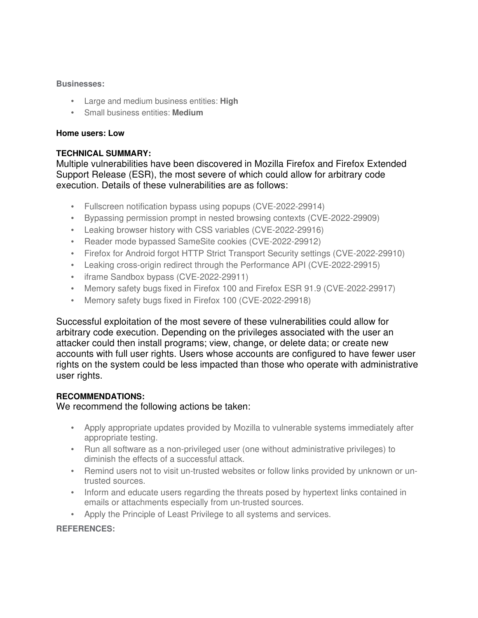### **Businesses:**

- Large and medium business entities: **High**
- Small business entities: **Medium**

### **Home users: Low**

## **TECHNICAL SUMMARY:**

Multiple vulnerabilities have been discovered in Mozilla Firefox and Firefox Extended Support Release (ESR), the most severe of which could allow for arbitrary code execution. Details of these vulnerabilities are as follows:

- Fullscreen notification bypass using popups (CVE-2022-29914)
- Bypassing permission prompt in nested browsing contexts (CVE-2022-29909)
- Leaking browser history with CSS variables (CVE-2022-29916)
- Reader mode bypassed SameSite cookies (CVE-2022-29912)
- Firefox for Android forgot HTTP Strict Transport Security settings (CVE-2022-29910)
- Leaking cross-origin redirect through the Performance API (CVE-2022-29915)
- iframe Sandbox bypass (CVE-2022-29911)
- Memory safety bugs fixed in Firefox 100 and Firefox ESR 91.9 (CVE-2022-29917)
- Memory safety bugs fixed in Firefox 100 (CVE-2022-29918)

Successful exploitation of the most severe of these vulnerabilities could allow for arbitrary code execution. Depending on the privileges associated with the user an attacker could then install programs; view, change, or delete data; or create new accounts with full user rights. Users whose accounts are configured to have fewer user rights on the system could be less impacted than those who operate with administrative user rights.

## **RECOMMENDATIONS:**

We recommend the following actions be taken:

- Apply appropriate updates provided by Mozilla to vulnerable systems immediately after appropriate testing.
- Run all software as a non-privileged user (one without administrative privileges) to diminish the effects of a successful attack.
- Remind users not to visit un-trusted websites or follow links provided by unknown or untrusted sources.
- Inform and educate users regarding the threats posed by hypertext links contained in emails or attachments especially from un-trusted sources.
- Apply the Principle of Least Privilege to all systems and services.

## **REFERENCES:**